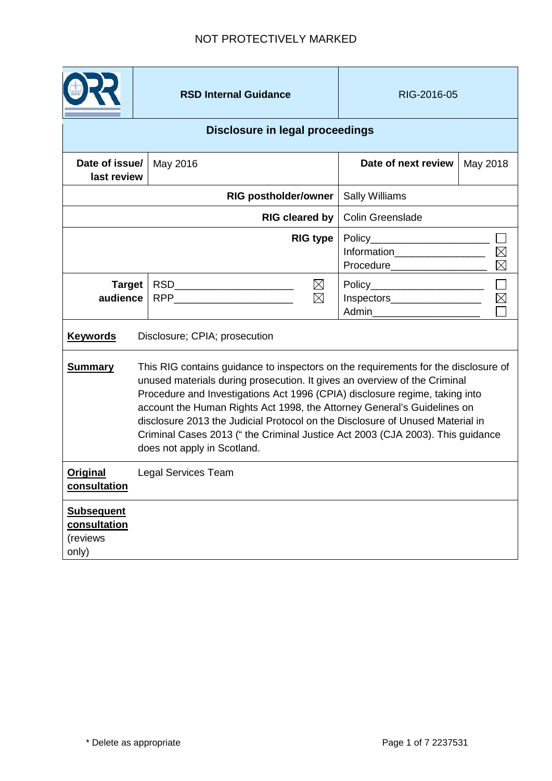|                                                        |                                                                                                                                                                                                                                                                                                                                                                                                                                                                                                                            | <b>RSD Internal Guidance</b>                                                                                                                                                                                                                                                                  |                                | RIG-2016-05                                   |          |  |
|--------------------------------------------------------|----------------------------------------------------------------------------------------------------------------------------------------------------------------------------------------------------------------------------------------------------------------------------------------------------------------------------------------------------------------------------------------------------------------------------------------------------------------------------------------------------------------------------|-----------------------------------------------------------------------------------------------------------------------------------------------------------------------------------------------------------------------------------------------------------------------------------------------|--------------------------------|-----------------------------------------------|----------|--|
| <b>Disclosure in legal proceedings</b>                 |                                                                                                                                                                                                                                                                                                                                                                                                                                                                                                                            |                                                                                                                                                                                                                                                                                               |                                |                                               |          |  |
| Date of issue/<br>last review                          |                                                                                                                                                                                                                                                                                                                                                                                                                                                                                                                            | May 2016                                                                                                                                                                                                                                                                                      |                                | Date of next review                           | May 2018 |  |
| <b>RIG postholder/owner</b>                            |                                                                                                                                                                                                                                                                                                                                                                                                                                                                                                                            |                                                                                                                                                                                                                                                                                               | <b>Sally Williams</b>          |                                               |          |  |
| <b>RIG cleared by</b>                                  |                                                                                                                                                                                                                                                                                                                                                                                                                                                                                                                            |                                                                                                                                                                                                                                                                                               |                                | <b>Colin Greenslade</b>                       |          |  |
| <b>RIG type</b>                                        |                                                                                                                                                                                                                                                                                                                                                                                                                                                                                                                            |                                                                                                                                                                                                                                                                                               | Information___________________ |                                               |          |  |
| <b>Target</b><br>audience                              |                                                                                                                                                                                                                                                                                                                                                                                                                                                                                                                            | RSD__________________________<br>$\boxtimes$<br>$\boxtimes$<br>RPP and the contract of the contract of the contract of the contract of the contract of the contract of the contract of the contract of the contract of the contract of the contract of the contract of the contract of the co |                                | $\boxtimes$<br>Inspectors____________________ |          |  |
| <b>Keywords</b>                                        | Disclosure; CPIA; prosecution                                                                                                                                                                                                                                                                                                                                                                                                                                                                                              |                                                                                                                                                                                                                                                                                               |                                |                                               |          |  |
| <b>Summary</b>                                         | This RIG contains guidance to inspectors on the requirements for the disclosure of<br>unused materials during prosecution. It gives an overview of the Criminal<br>Procedure and Investigations Act 1996 (CPIA) disclosure regime, taking into<br>account the Human Rights Act 1998, the Attorney General's Guidelines on<br>disclosure 2013 the Judicial Protocol on the Disclosure of Unused Material in<br>Criminal Cases 2013 ("the Criminal Justice Act 2003 (CJA 2003). This guidance<br>does not apply in Scotland. |                                                                                                                                                                                                                                                                                               |                                |                                               |          |  |
| <b>Original</b><br>consultation                        |                                                                                                                                                                                                                                                                                                                                                                                                                                                                                                                            | <b>Legal Services Team</b>                                                                                                                                                                                                                                                                    |                                |                                               |          |  |
| <b>Subsequent</b><br>consultation<br>(reviews<br>only) |                                                                                                                                                                                                                                                                                                                                                                                                                                                                                                                            |                                                                                                                                                                                                                                                                                               |                                |                                               |          |  |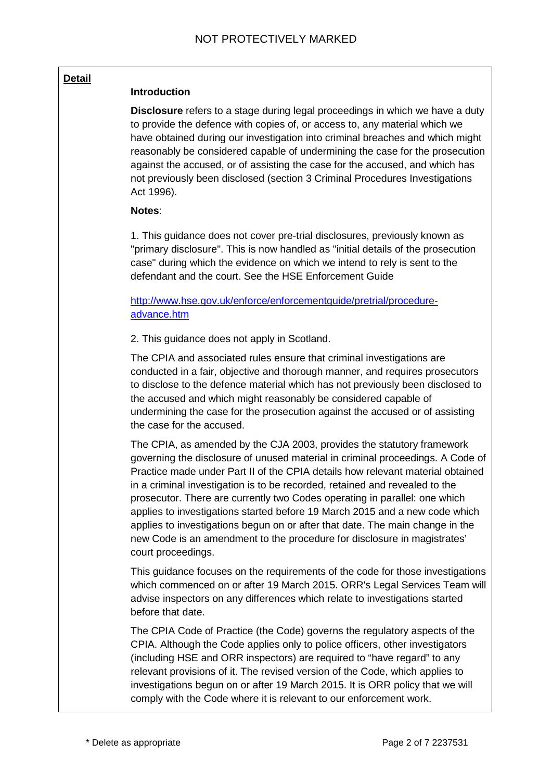#### **Detail**

#### **Introduction**

**Disclosure** refers to a stage during legal proceedings in which we have a duty to provide the defence with copies of, or access to, any material which we have obtained during our investigation into criminal breaches and which might reasonably be considered capable of undermining the case for the prosecution against the accused, or of assisting the case for the accused, and which has not previously been disclosed (section 3 Criminal Procedures Investigations Act 1996).

#### **Notes**:

1. This guidance does not cover pre-trial disclosures, previously known as "primary disclosure". This is now handled as "initial details of the prosecution case" during which the evidence on which we intend to rely is sent to the defendant and the court. See the HSE Enforcement Guide

# http://www.hse.gov.uk/enforce/enforcementguide/pretrial/procedureadvance.htm

2. This guidance does not apply in Scotland.

The CPIA and associated rules ensure that criminal investigations are conducted in a fair, objective and thorough manner, and requires prosecutors to disclose to the defence material which has not previously been disclosed to the accused and which might reasonably be considered capable of undermining the case for the prosecution against the accused or of assisting the case for the accused.

The CPIA, as amended by the CJA 2003, provides the statutory framework governing the disclosure of unused material in criminal proceedings. A Code of Practice made under Part II of the CPIA details how relevant material obtained in a criminal investigation is to be recorded, retained and revealed to the prosecutor. There are currently two Codes operating in parallel: one which applies to investigations started before 19 March 2015 and a new code which applies to investigations begun on or after that date. The main change in the new Code is an amendment to the procedure for disclosure in magistrates' court proceedings.

This guidance focuses on the requirements of the code for those investigations which commenced on or after 19 March 2015. ORR's Legal Services Team will advise inspectors on any differences which relate to investigations started before that date.

The CPIA Code of Practice (the Code) governs the regulatory aspects of the CPIA. Although the Code applies only to police officers, other investigators (including HSE and ORR inspectors) are required to "have regard" to any relevant provisions of it. The revised version of the Code, which applies to investigations begun on or after 19 March 2015. It is ORR policy that we will comply with the Code where it is relevant to our enforcement work.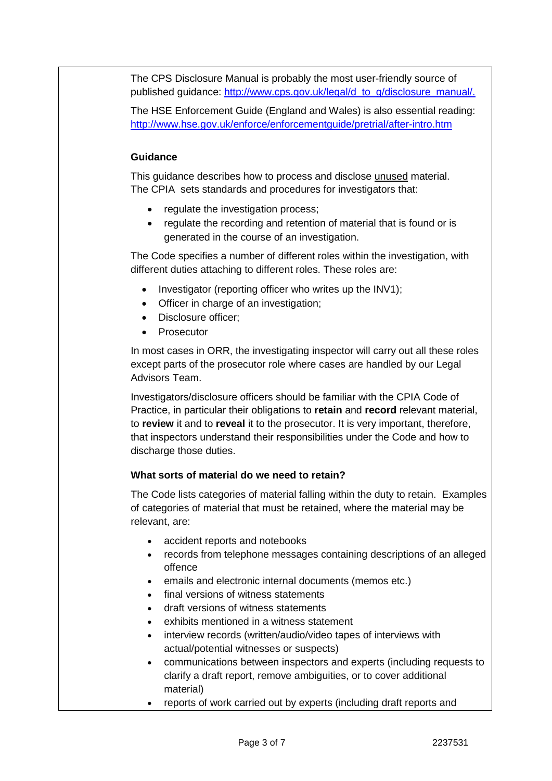The CPS Disclosure Manual is probably the most user-friendly source of published guidance: [http://www.cps.gov.uk/legal/d\\_to\\_g/disclosure\\_manual/.](http://www.cps.gov.uk/legal/d_to_g/disclosure_manual/)

The HSE Enforcement Guide (England and Wales) is also essential reading: <http://www.hse.gov.uk/enforce/enforcementguide/pretrial/after-intro.htm>

# **Guidance**

This guidance describes how to process and disclose unused material. The CPIA sets standards and procedures for investigators that:

- regulate the investigation process;
- regulate the recording and retention of material that is found or is generated in the course of an investigation.

The Code specifies a number of different roles within the investigation, with different duties attaching to different roles. These roles are:

- Investigator (reporting officer who writes up the INV1);
- Officer in charge of an investigation;
- Disclosure officer;
- Prosecutor

In most cases in ORR, the investigating inspector will carry out all these roles except parts of the prosecutor role where cases are handled by our Legal Advisors Team.

Investigators/disclosure officers should be familiar with the CPIA Code of Practice, in particular their obligations to **retain** and **record** relevant material, to **review** it and to **reveal** it to the prosecutor. It is very important, therefore, that inspectors understand their responsibilities under the Code and how to discharge those duties.

# **What sorts of material do we need to retain?**

The Code lists categories of material falling within the duty to retain. Examples of categories of material that must be retained, where the material may be relevant, are:

- accident reports and notebooks
- records from telephone messages containing descriptions of an alleged offence
- emails and electronic internal documents (memos etc.)
- final versions of witness statements
- draft versions of witness statements
- exhibits mentioned in a witness statement
- interview records (written/audio/video tapes of interviews with actual/potential witnesses or suspects)
- communications between inspectors and experts (including requests to clarify a draft report, remove ambiguities, or to cover additional material)
- reports of work carried out by experts (including draft reports and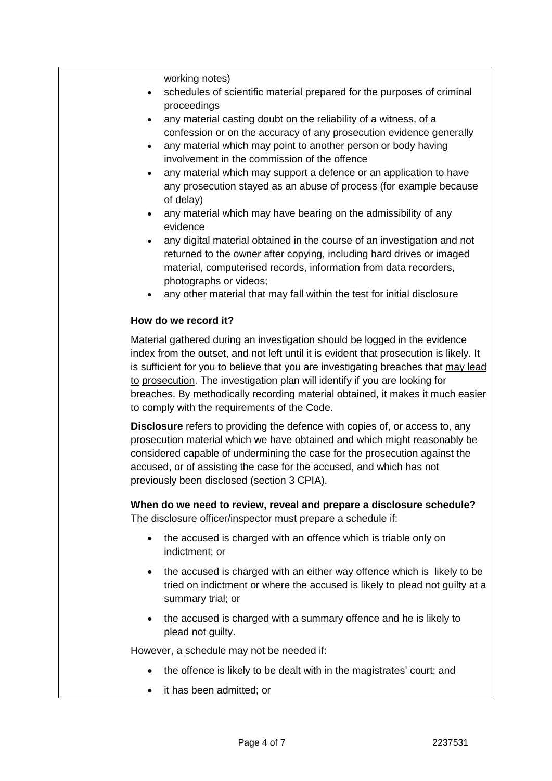working notes)

- schedules of scientific material prepared for the purposes of criminal proceedings
- any material casting doubt on the reliability of a witness, of a confession or on the accuracy of any prosecution evidence generally
- any material which may point to another person or body having involvement in the commission of the offence
- any material which may support a defence or an application to have any prosecution stayed as an abuse of process (for example because of delay)
- any material which may have bearing on the admissibility of any evidence
- any digital material obtained in the course of an investigation and not returned to the owner after copying, including hard drives or imaged material, computerised records, information from data recorders, photographs or videos;
- any other material that may fall within the test for initial disclosure

# **How do we record it?**

Material gathered during an investigation should be logged in the evidence index from the outset, and not left until it is evident that prosecution is likely. It is sufficient for you to believe that you are investigating breaches that may lead to prosecution. The investigation plan will identify if you are looking for breaches. By methodically recording material obtained, it makes it much easier to comply with the requirements of the Code.

**Disclosure** refers to providing the defence with copies of, or access to, any prosecution material which we have obtained and which might reasonably be considered capable of undermining the case for the prosecution against the accused, or of assisting the case for the accused, and which has not previously been disclosed (section 3 CPIA).

**When do we need to review, reveal and prepare a disclosure schedule?** The disclosure officer/inspector must prepare a schedule if:

- the accused is charged with an offence which is triable only on indictment; or
- the accused is charged with an either way offence which is likely to be tried on indictment or where the accused is likely to plead not guilty at a summary trial; or
- the accused is charged with a summary offence and he is likely to plead not guilty.

However, a schedule may not be needed if:

- the offence is likely to be dealt with in the magistrates' court; and
- it has been admitted; or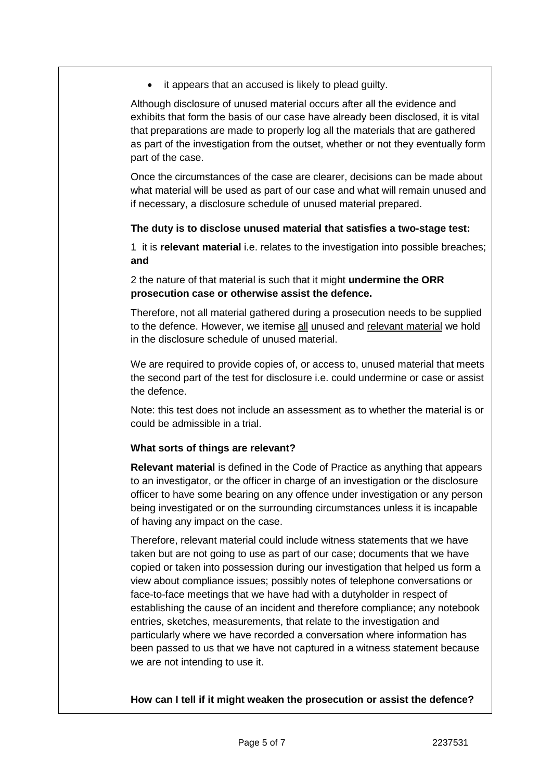• it appears that an accused is likely to plead guilty.

Although disclosure of unused material occurs after all the evidence and exhibits that form the basis of our case have already been disclosed, it is vital that preparations are made to properly log all the materials that are gathered as part of the investigation from the outset, whether or not they eventually form part of the case.

Once the circumstances of the case are clearer, decisions can be made about what material will be used as part of our case and what will remain unused and if necessary, a disclosure schedule of unused material prepared.

#### **The duty is to disclose unused material that satisfies a two-stage test:**

1 it is **relevant material** i.e. relates to the investigation into possible breaches; **and**

2 the nature of that material is such that it might **undermine the ORR prosecution case or otherwise assist the defence.**

Therefore, not all material gathered during a prosecution needs to be supplied to the defence. However, we itemise all unused and relevant material we hold in the disclosure schedule of unused material.

We are required to provide copies of, or access to, unused material that meets the second part of the test for disclosure i.e. could undermine or case or assist the defence.

Note: this test does not include an assessment as to whether the material is or could be admissible in a trial.

# **What sorts of things are relevant?**

**Relevant material** is defined in the Code of Practice as anything that appears to an investigator, or the officer in charge of an investigation or the disclosure officer to have some bearing on any offence under investigation or any person being investigated or on the surrounding circumstances unless it is incapable of having any impact on the case.

Therefore, relevant material could include witness statements that we have taken but are not going to use as part of our case; documents that we have copied or taken into possession during our investigation that helped us form a view about compliance issues; possibly notes of telephone conversations or face-to-face meetings that we have had with a dutyholder in respect of establishing the cause of an incident and therefore compliance; any notebook entries, sketches, measurements, that relate to the investigation and particularly where we have recorded a conversation where information has been passed to us that we have not captured in a witness statement because we are not intending to use it.

**How can I tell if it might weaken the prosecution or assist the defence?**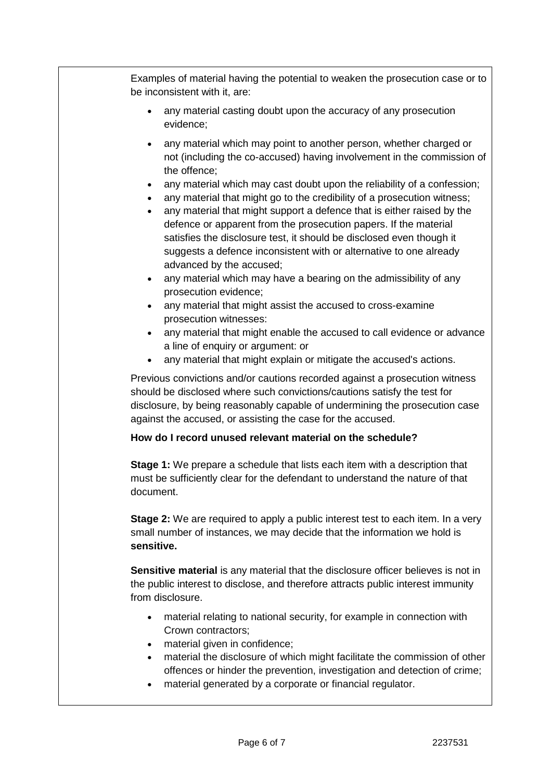Examples of material having the potential to weaken the prosecution case or to be inconsistent with it, are:

- any material casting doubt upon the accuracy of any prosecution evidence;
- any material which may point to another person, whether charged or not (including the co-accused) having involvement in the commission of the offence;
- any material which may cast doubt upon the reliability of a confession;
- any material that might go to the credibility of a prosecution witness;
- any material that might support a defence that is either raised by the defence or apparent from the prosecution papers. If the material satisfies the disclosure test, it should be disclosed even though it suggests a defence inconsistent with or alternative to one already advanced by the accused;
- any material which may have a bearing on the admissibility of any prosecution evidence;
- any material that might assist the accused to cross-examine prosecution witnesses:
- any material that might enable the accused to call evidence or advance a line of enquiry or argument: or
- any material that might explain or mitigate the accused's actions.

Previous convictions and/or cautions recorded against a prosecution witness should be disclosed where such convictions/cautions satisfy the test for disclosure, by being reasonably capable of undermining the prosecution case against the accused, or assisting the case for the accused.

# **How do I record unused relevant material on the schedule?**

**Stage 1:** We prepare a schedule that lists each item with a description that must be sufficiently clear for the defendant to understand the nature of that document.

**Stage 2:** We are required to apply a public interest test to each item. In a very small number of instances, we may decide that the information we hold is **sensitive.**

**Sensitive material** is any material that the disclosure officer believes is not in the public interest to disclose, and therefore attracts public interest immunity from disclosure.

- material relating to national security, for example in connection with Crown contractors;
- material given in confidence;
- material the disclosure of which might facilitate the commission of other offences or hinder the prevention, investigation and detection of crime;
- material generated by a corporate or financial regulator.